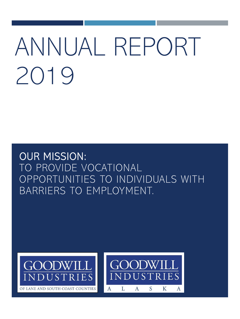# ANNUAL REPORT 2019

OUR MISSION: TO PROVIDE VOCATIONAL OPPORTUNITIES TO INDIVIDUALS WITH BARRIERS TO EMPLOYMENT.



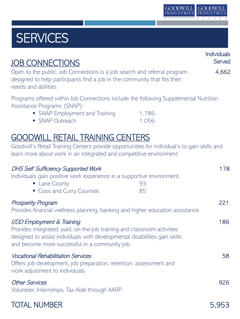

# **SERVICES**

| <b>JOB CONNECTIONS</b>                                                                                                                                                                                                                | Individuals<br>Served |
|---------------------------------------------------------------------------------------------------------------------------------------------------------------------------------------------------------------------------------------|-----------------------|
| Open to the public, Job Connections is a job search and referral program<br>designed to help participants find a job in the community that fits their<br>needs and abilities.                                                         | 4,662                 |
| Programs offered within Job Connections include the following Supplemental Nutrition<br>Assistance Programs (SNAP):<br>• SNAP Employment and Training<br>• SNAP Outreach                                                              | 1,786<br>1,056        |
| <b>GOODWILL RETAIL TRAINING CENTERS</b><br>Goodwill's Retail Training Centers provide opportunities for individual's to gain skills and<br>learn more about work in an integrated and competitive environment.                        |                       |
| <b>DHS Self Sufficiency Supported Work</b><br>Individuals gain positive work experience in a supportive environment.<br>• Lane County<br>93<br>• Coos and Curry Counties<br>85                                                        | 178                   |
| <b>Prosperity Program</b><br>Provides financial wellness planning, banking and higher education assistance.                                                                                                                           | 221                   |
| I/DD Employment & Training<br>Provides integrated, paid, on-the-job training and classroom activities<br>designed to assist individuals with developmental disabilities gain skills<br>and become more successful in a community job. | 186                   |
| <b>Vocational Rehabilitation Services</b><br>Offers job development, job preparation, retention, assessment and<br>work adjustment to individuals.                                                                                    | 58                    |
| <b>Other Services</b><br>Volunteer, Internships, Tax Aide through AARP.                                                                                                                                                               | 926                   |
| <b>TOTAL NUMBER</b>                                                                                                                                                                                                                   | 5,953                 |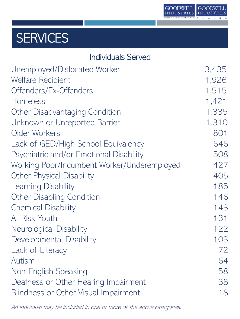

## **SERVICES**

| <b>Individuals Served</b>                   |       |
|---------------------------------------------|-------|
| Unemployed/Dislocated Worker                | 3,435 |
| <b>Welfare Recipient</b>                    | 1,926 |
| Offenders/Ex-Offenders                      | 1,515 |
| Homeless                                    | 1,421 |
| Other Disadvantaging Condition              | 1,335 |
| Unknown or Unreported Barrier               | 1,310 |
| Older Workers                               | 801   |
| Lack of GED/High School Equivalency         | 646   |
| Psychiatric and/or Emotional Disability     | 508   |
| Working Poor/Incumbent Worker/Underemployed | 427   |
| <b>Other Physical Disability</b>            | 405   |
| Learning Disability                         | 185   |
| <b>Other Disabling Condition</b>            | 146   |
| <b>Chemical Disability</b>                  | 143   |
| At-Risk Youth                               | 131   |
| Neurological Disability                     | 122   |
| Developmental Disability                    | 103   |
| Lack of Literacy                            | 72    |
| Autism                                      | 64    |
| Non-English Speaking                        | 58    |
| Deafness or Other Hearing Impairment        | 38    |
| Blindness or Other Visual Impairment        | 18    |

An individual may be included in one or more of the above categories.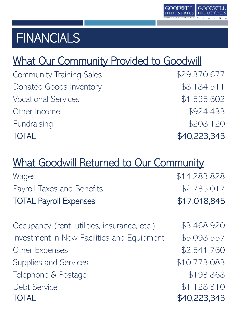

### **FINANCIALS**

### What Our Community Provided to Goodwill

Community Training Sales **\$29,370,677** Donated Goods Inventory **\$8,184,511** Vocational Services  $$1,535,602$ Other Income \$924,433 Fundraising  $$208,120$ TOTAL \$40,223,343

### What Goodwill Returned to Our Community

| Wages                                        | \$14,283,828 |
|----------------------------------------------|--------------|
| Payroll Taxes and Benefits                   | \$2,735,017  |
| <b>TOTAL Payroll Expenses</b>                | \$17,018,845 |
|                                              |              |
| Occupancy (rent, utilities, insurance, etc.) | \$3,468,920  |
| Investment in New Facilities and Equipment   | \$5,098,557  |
| <b>Other Expenses</b>                        | \$2,541,760  |
| Supplies and Services                        | \$10,773,083 |
| Telephone & Postage                          | \$193,868    |
| <b>Debt Service</b>                          | \$1,128,310  |
| <b>TOTAL</b>                                 | \$40,223,343 |
|                                              |              |